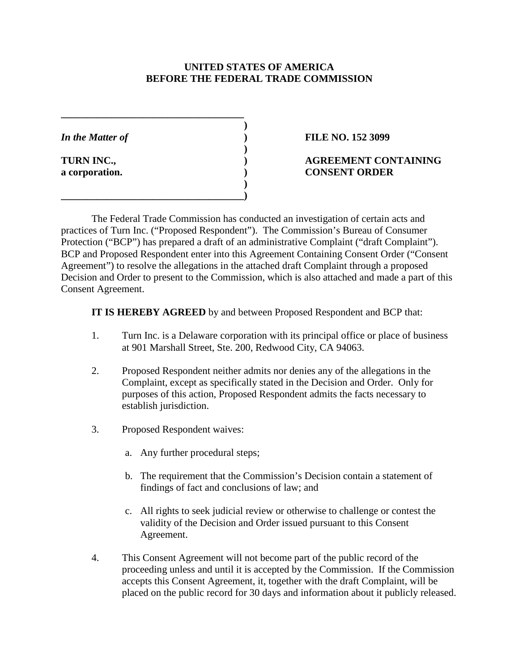### **UNITED STATES OF AMERICA BEFORE THE FEDERAL TRADE COMMISSION**

**)**

**)**

**)**

**\_\_\_\_\_\_\_\_\_\_\_\_\_\_\_\_\_\_\_\_\_\_\_\_\_\_\_\_\_\_\_\_\_\_\_\_**

**\_\_\_\_\_\_\_\_\_\_\_\_\_\_\_\_\_\_\_\_\_\_\_\_\_\_\_\_\_\_\_\_\_\_\_\_)**

## *In the Matter of* **) FILE NO. 152 3099**

## **TURN INC., ) AGREEMENT CONTAINING a corporation. ) CONSENT ORDER**

The Federal Trade Commission has conducted an investigation of certain acts and practices of Turn Inc. ("Proposed Respondent"). The Commission's Bureau of Consumer Protection ("BCP") has prepared a draft of an administrative Complaint ("draft Complaint"). BCP and Proposed Respondent enter into this Agreement Containing Consent Order ("Consent Agreement") to resolve the allegations in the attached draft Complaint through a proposed Decision and Order to present to the Commission, which is also attached and made a part of this Consent Agreement.

**IT IS HEREBY AGREED** by and between Proposed Respondent and BCP that:

- 1. Turn Inc. is a Delaware corporation with its principal office or place of business at 901 Marshall Street, Ste. 200, Redwood City, CA 94063.
- 2. Proposed Respondent neither admits nor denies any of the allegations in the Complaint, except as specifically stated in the Decision and Order. Only for purposes of this action, Proposed Respondent admits the facts necessary to establish jurisdiction.
- 3. Proposed Respondent waives:
	- a. Any further procedural steps;
	- b. The requirement that the Commission's Decision contain a statement of findings of fact and conclusions of law; and
	- c. All rights to seek judicial review or otherwise to challenge or contest the validity of the Decision and Order issued pursuant to this Consent Agreement.
- 4. This Consent Agreement will not become part of the public record of the proceeding unless and until it is accepted by the Commission. If the Commission accepts this Consent Agreement, it, together with the draft Complaint, will be placed on the public record for 30 days and information about it publicly released.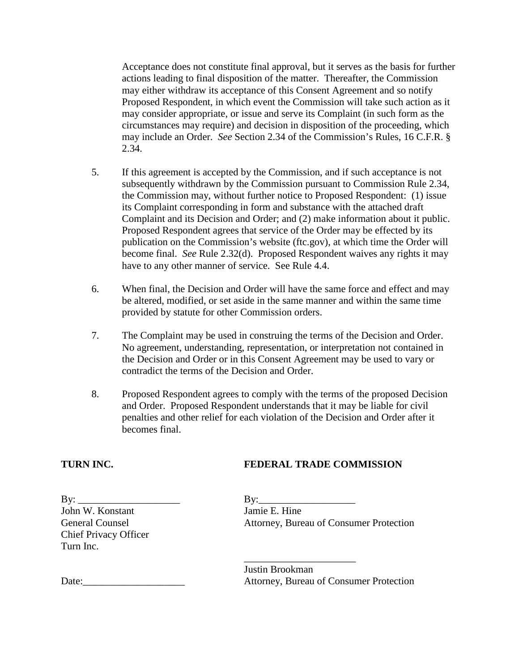Acceptance does not constitute final approval, but it serves as the basis for further actions leading to final disposition of the matter. Thereafter, the Commission may either withdraw its acceptance of this Consent Agreement and so notify Proposed Respondent, in which event the Commission will take such action as it may consider appropriate, or issue and serve its Complaint (in such form as the circumstances may require) and decision in disposition of the proceeding, which may include an Order. *See* Section 2.34 of the Commission's Rules, 16 C.F.R. § 2.34.

- 5. If this agreement is accepted by the Commission, and if such acceptance is not subsequently withdrawn by the Commission pursuant to Commission Rule 2.34, the Commission may, without further notice to Proposed Respondent: (1) issue its Complaint corresponding in form and substance with the attached draft Complaint and its Decision and Order; and (2) make information about it public. Proposed Respondent agrees that service of the Order may be effected by its publication on the Commission's website (ftc.gov), at which time the Order will become final. *See* Rule 2.32(d). Proposed Respondent waives any rights it may have to any other manner of service. See Rule 4.4.
- 6. When final, the Decision and Order will have the same force and effect and may be altered, modified, or set aside in the same manner and within the same time provided by statute for other Commission orders.
- 7. The Complaint may be used in construing the terms of the Decision and Order. No agreement, understanding, representation, or interpretation not contained in the Decision and Order or in this Consent Agreement may be used to vary or contradict the terms of the Decision and Order.
- 8. Proposed Respondent agrees to comply with the terms of the proposed Decision and Order. Proposed Respondent understands that it may be liable for civil penalties and other relief for each violation of the Decision and Order after it becomes final.

# **TURN INC. FEDERAL TRADE COMMISSION**

By:  $\Box$ John W. Konstant Jamie E. Hine Chief Privacy Officer Turn Inc.

General Counsel Attorney, Bureau of Consumer Protection

Justin Brookman Date: The Consumer Protection Attorney, Bureau of Consumer Protection

\_\_\_\_\_\_\_\_\_\_\_\_\_\_\_\_\_\_\_\_\_\_